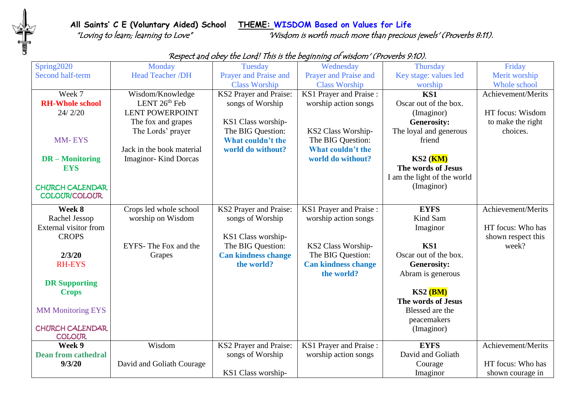**All Saints' C E (Voluntary Aided) School THEME: WISDOM Based on Values for Life**

**THE** 

"Loving to learn; learning to Love" 'Wisdom is worth much more than precious jewels' (Proverbs 8:11).

| Spring2020                 | Monday                       | Tuesday                    | Wednesday                     | <b>Thursday</b>                  | Friday             |
|----------------------------|------------------------------|----------------------------|-------------------------------|----------------------------------|--------------------|
| Second half-term           | Head Teacher /DH             | Prayer and Praise and      | <b>Prayer and Praise and</b>  | Key stage: values led            | Merit worship      |
|                            |                              | <b>Class Worship</b>       | <b>Class Worship</b>          | worship                          | Whole school       |
| Week 7                     | Wisdom/Knowledge             | KS2 Prayer and Praise:     | KS1 Prayer and Praise:        | KS1                              | Achievement/Merits |
| <b>RH-Whole school</b>     | LENT $26th$ Feb              | songs of Worship           | worship action songs          | Oscar out of the box.            |                    |
| 24/2/20                    | <b>LENT POWERPOINT</b>       |                            |                               | (Imaginor)                       | HT focus: Wisdom   |
|                            | The fox and grapes           | KS1 Class worship-         |                               | <b>Generosity:</b>               | to make the right  |
|                            | The Lords' prayer            | The BIG Question:          | KS2 Class Worship-            | The loyal and generous           | choices.           |
| <b>MM-EYS</b>              |                              | What couldn't the          | The BIG Question:             | friend                           |                    |
|                            | Jack in the book material    | world do without?          | What couldn't the             |                                  |                    |
| <b>DR</b> – Monitoring     | <b>Imaginor-</b> Kind Dorcas |                            | world do without?             | $KS2$ ( $\overline{\text{KM}}$ ) |                    |
| <b>EYS</b>                 |                              |                            |                               | The words of Jesus               |                    |
|                            |                              |                            |                               | I am the light of the world      |                    |
| <b>CHURCH CALENDAR</b>     |                              |                            |                               | (Imaginor)                       |                    |
| <b>COLOUR/COLOUR</b>       |                              |                            |                               |                                  |                    |
| Week 8                     | Crops led whole school       | KS2 Prayer and Praise:     | KS1 Prayer and Praise:        | <b>EYFS</b>                      | Achievement/Merits |
| Rachel Jessop              | worship on Wisdom            | songs of Worship           | worship action songs          | Kind Sam                         |                    |
| External visitor from      |                              |                            |                               | Imaginor                         | HT focus: Who has  |
| <b>CROPS</b>               |                              | KS1 Class worship-         |                               |                                  | shown respect this |
|                            | EYFS-The Fox and the         | The BIG Question:          | KS2 Class Worship-            | KS1                              | week?              |
| 2/3/20                     | Grapes                       | <b>Can kindness change</b> | The BIG Question:             | Oscar out of the box.            |                    |
| <b>RH-EYS</b>              |                              | the world?                 | <b>Can kindness change</b>    | <b>Generosity:</b>               |                    |
|                            |                              |                            | the world?                    | Abram is generous                |                    |
| <b>DR Supporting</b>       |                              |                            |                               |                                  |                    |
| <b>Crops</b>               |                              |                            |                               | KS2(BM)                          |                    |
|                            |                              |                            |                               | The words of Jesus               |                    |
| <b>MM Monitoring EYS</b>   |                              |                            |                               | Blessed are the                  |                    |
|                            |                              |                            |                               | peacemakers                      |                    |
| <b>CHURCH CALENDAR</b>     |                              |                            |                               | (Imaginor)                       |                    |
| <b>COLOUR</b>              |                              |                            |                               |                                  |                    |
| Week 9                     | Wisdom                       | KS2 Prayer and Praise:     | <b>KS1</b> Prayer and Praise: | <b>EYFS</b>                      | Achievement/Merits |
| <b>Dean from cathedral</b> |                              | songs of Worship           | worship action songs          | David and Goliath                |                    |
| 9/3/20                     | David and Goliath Courage    |                            |                               | Courage                          | HT focus: Who has  |
|                            |                              | KS1 Class worship-         |                               | Imaginor                         | shown courage in   |

## 'Respect and obey the Lord! This is the beginning of wisdom' (Proverbs 9:10).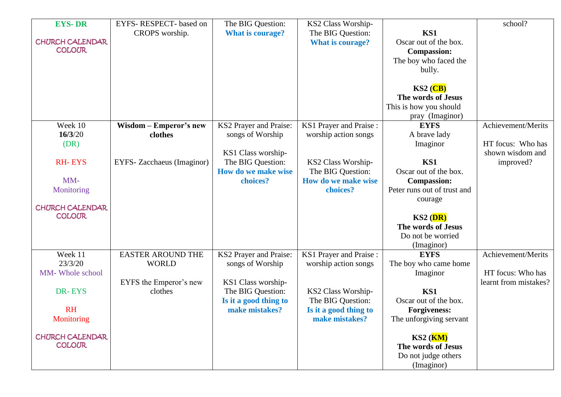| <b>EYS-DR</b>          | EYFS-RESPECT-based on      | The BIG Question:       | KS2 Class Worship-      |                                                        | school?               |
|------------------------|----------------------------|-------------------------|-------------------------|--------------------------------------------------------|-----------------------|
|                        | CROPS worship.             | <b>What is courage?</b> | The BIG Question:       | KS1                                                    |                       |
| <b>CHURCH CALENDAR</b> |                            |                         | <b>What is courage?</b> | Oscar out of the box.                                  |                       |
| <b>COLOUR</b>          |                            |                         |                         | <b>Compassion:</b>                                     |                       |
|                        |                            |                         |                         | The boy who faced the                                  |                       |
|                        |                            |                         |                         | bully.                                                 |                       |
|                        |                            |                         |                         |                                                        |                       |
|                        |                            |                         |                         | $KS2$ ( $CB$ )                                         |                       |
|                        |                            |                         |                         | The words of Jesus                                     |                       |
|                        |                            |                         |                         | This is how you should                                 |                       |
|                        |                            |                         |                         | pray (Imaginor)                                        |                       |
| Week 10                | Wisdom - Emperor's new     | KS2 Prayer and Praise:  | KS1 Prayer and Praise:  | <b>EYFS</b>                                            | Achievement/Merits    |
| 16/3/20                | clothes                    | songs of Worship        | worship action songs    | A brave lady                                           |                       |
| (DR)                   |                            |                         |                         | Imaginor                                               | HT focus: Who has     |
|                        |                            | KS1 Class worship-      |                         |                                                        | shown wisdom and      |
| <b>RH-EYS</b>          | EYFS- Zacchaeus (Imaginor) | The BIG Question:       | KS2 Class Worship-      | KS1                                                    | improved?             |
|                        |                            | How do we make wise     | The BIG Question:       | Oscar out of the box.                                  |                       |
| MM-                    |                            | choices?                | How do we make wise     | <b>Compassion:</b>                                     |                       |
| Monitoring             |                            |                         | choices?                | Peter runs out of trust and                            |                       |
|                        |                            |                         |                         | courage                                                |                       |
| <b>CHURCH CALENDAR</b> |                            |                         |                         |                                                        |                       |
| <b>COLOUR</b>          |                            |                         |                         | $KS2$ ( $DR$ )                                         |                       |
|                        |                            |                         |                         | The words of Jesus                                     |                       |
|                        |                            |                         |                         | Do not be worried                                      |                       |
|                        |                            |                         |                         | (Imaginor)                                             |                       |
| Week 11                | <b>EASTER AROUND THE</b>   | KS2 Prayer and Praise:  | KS1 Prayer and Praise:  | <b>EYFS</b>                                            | Achievement/Merits    |
| 23/3/20                | <b>WORLD</b>               | songs of Worship        | worship action songs    | The boy who came home                                  |                       |
| MM- Whole school       |                            |                         |                         | Imaginor                                               | HT focus: Who has     |
|                        | EYFS the Emperor's new     | KS1 Class worship-      |                         |                                                        | learnt from mistakes? |
| DR-EYS                 | clothes                    | The BIG Question:       | KS2 Class Worship-      | KS1                                                    |                       |
|                        |                            | Is it a good thing to   | The BIG Question:       | Oscar out of the box.                                  |                       |
| <b>RH</b>              |                            | make mistakes?          | Is it a good thing to   | <b>Forgiveness:</b>                                    |                       |
| Monitoring             |                            |                         | make mistakes?          | The unforgiving servant                                |                       |
| <b>CHURCH CALENDAR</b> |                            |                         |                         |                                                        |                       |
| <b>COLOUR</b>          |                            |                         |                         | $KS2$ ( $\overline{\text{KM}}$ )<br>The words of Jesus |                       |
|                        |                            |                         |                         |                                                        |                       |
|                        |                            |                         |                         | Do not judge others                                    |                       |
|                        |                            |                         |                         | (Imaginor)                                             |                       |